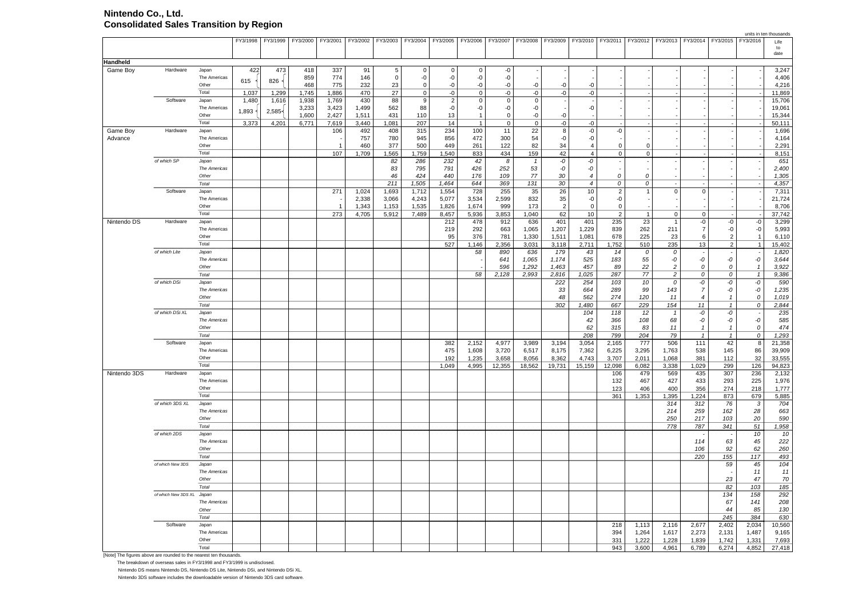## **Nintendo Co., Ltd. Consolidated Sales Transition by Region**

|              |                           |                       |          |          |          |                |                |             |              |                   |                              |             |                          |                   |                     |                          |                 |                            |                          |                          |                          | units in ten thousands |
|--------------|---------------------------|-----------------------|----------|----------|----------|----------------|----------------|-------------|--------------|-------------------|------------------------------|-------------|--------------------------|-------------------|---------------------|--------------------------|-----------------|----------------------------|--------------------------|--------------------------|--------------------------|------------------------|
|              |                           |                       | FY3/1998 | FY3/1999 | FY3/2000 | FY3/2001       | FY3/2002       | FY3/2003    |              | FY3/2004 FY3/2005 | FY3/2006                     | FY3/2007    |                          | FY3/2008 FY3/2009 | FY3/2010 FY3/2011   |                          |                 | FY3/2012 FY3/2013 FY3/2014 |                          | FY3/2015                 | FY3/2016                 | Life                   |
|              |                           |                       |          |          |          |                |                |             |              |                   |                              |             |                          |                   |                     |                          |                 |                            |                          |                          |                          | to<br>date             |
|              |                           |                       |          |          |          |                |                |             |              |                   |                              |             |                          |                   |                     |                          |                 |                            |                          |                          |                          |                        |
| Handheld     |                           |                       |          |          |          |                |                |             |              |                   |                              |             |                          |                   |                     |                          |                 |                            |                          |                          |                          |                        |
| Game Boy     | Hardware                  | Japan                 | 422      | 473      | 418      | 337            | 91             | 5           | 0            | 0                 | $\mathbf 0$                  | -0          |                          |                   |                     |                          |                 |                            |                          |                          |                          | 3,247                  |
|              |                           | The Americas<br>Other | 615      | $826 -$  | 859      | 774            | 146            | $\Omega$    | -0           | -0                | -0                           | -0          | $\overline{\phantom{a}}$ |                   |                     |                          |                 |                            |                          |                          |                          | 4,406                  |
|              |                           | Total                 |          |          | 468      | 775            | 232            | 23          | $\mathbf 0$  | -0                | -0                           | -0          | -0                       | $-0$              | -0                  |                          |                 |                            |                          |                          |                          | 4,216                  |
|              | Software                  |                       | 1.037    | 1,299    | 1,745    | 1,886          | 470            | 27          | $\mathbf 0$  | $-0$              | $\mathbf 0$                  | $-0$        | $-0$                     | $-0$              | $-0$                |                          |                 |                            |                          |                          |                          | 11.869                 |
|              |                           | Japan                 | 1,480    | 1,616    | 1,938    | 1,769          | 430            | 88          | 9            | $\overline{2}$    | $\mathbf 0$                  | $\mathbf 0$ | 0                        |                   |                     |                          |                 |                            |                          |                          |                          | 15,706                 |
|              |                           | The Americas<br>Other | 1,893    | 2,585    | 3,233    | 3,423<br>2.427 | 1,499<br>1.511 | 562<br>431  | 88<br>110    | -0<br>13          | -0                           | -0          | -0<br>$-0$               | $-0$              | $\hbox{-}0$         |                          |                 |                            |                          |                          |                          | 19,061<br>15.344       |
|              |                           | Total                 |          |          | 1,600    |                |                |             | 207          | 14                | $\mathbf{1}$<br>$\mathbf{1}$ | 0           | 0                        |                   |                     |                          |                 |                            |                          |                          |                          |                        |
|              |                           |                       | 3,373    | 4,201    | 6,771    | 7,619          | 3,440          | 1,081       |              |                   |                              | $\mathsf 0$ |                          | $\hbox{-}0$       | $\hbox{-}0$         |                          |                 |                            |                          |                          |                          | 50,111                 |
| Game Boy     | Hardware                  | Japan<br>The Americas |          |          |          | 106            | 492            | 408         | 315          | 234               | 100                          | 11          | 22                       | 8                 | $-0$                | -0                       |                 |                            |                          |                          |                          | 1,696                  |
| Advance      |                           | Other                 |          |          |          |                | 757            | 780         | 945          | 856               | 472                          | 300<br>122  | 54<br>82                 | $\hbox{-}0$<br>34 | $\hbox{-}0$         | $\mathsf 0$              | $\mathbf 0$     |                            |                          |                          |                          | 4,164                  |
|              |                           | Total                 |          |          |          | 107            | 460<br>1,709   | 377         | 500<br>1,759 | 449<br>1,540      | 261<br>833                   | 434         | 159                      | 42                | 4<br>$\overline{4}$ | $\mathbf 0$              | $\mathbf 0$     |                            |                          |                          |                          | 2,291<br>8,151         |
|              | of which SP               | Japan.                |          |          |          |                |                | 1,565<br>82 | 286          | 232               | 42                           | 8           | $\overline{1}$           | -0                | -0                  | $\overline{\phantom{a}}$ |                 |                            |                          |                          |                          | 651                    |
|              |                           | The Americas          |          |          |          |                |                | 83          | 795          | 791               | 426                          | 252         | 53                       | $-0$              | -0                  | $\sim$                   |                 |                            |                          |                          |                          | 2,400                  |
|              |                           | Other                 |          |          |          |                |                | 46          | 424          | 440               | 176                          | 109         | 77                       | 30                | $\overline{4}$      | 0                        | 0               |                            |                          |                          |                          | 1,305                  |
|              |                           | Total                 |          |          |          |                |                | 211         | 1,505        | 1,464             | 644                          | 369         | 131                      | 30                | $\overline{4}$      | 0                        | 0               | $\overline{a}$             |                          | $\sim$                   |                          | 4,357                  |
|              | Software                  | Japan                 |          |          |          | 271            | 1,024          | 1,693       | 1,712        | 1,554             | 728                          | 255         | 35                       | 26                | 10                  | $\overline{2}$           | $\mathbf{1}$    | $\mathbf 0$                | 0                        |                          |                          | 7,311                  |
|              |                           | The Americas          |          |          |          |                | 2,338          | 3,066       | 4,243        | 5,077             | 3,534                        | 2,599       | 832                      | 35                | $\hbox{-}0$         | $-0$                     |                 |                            |                          |                          |                          | 21,724                 |
|              |                           | Other                 |          |          |          | - 1            | 1,343          | 1,153       | 1,535        | 1,826             | 1,674                        | 999         | 173                      | $\overline{2}$    | $\mathbf 0$         | $\mathsf 0$              |                 |                            |                          |                          |                          | 8,706                  |
|              |                           | Total                 |          |          |          | 273            | 4,705          | 5,912       | 7,489        | 8,457             | 5,936                        | 3,853       | 1,040                    | 62                | 10                  | $\overline{2}$           | $\mathbf{1}$    | $\mathbf 0$                | $\mathbf 0$              | $\sim$                   |                          | 37,742                 |
| Nintendo DS  | Hardware                  | Japan                 |          |          |          |                |                |             |              | 212               | 478                          | 912         | 636                      | 401               | 401                 | 235                      | 23              | $\overline{1}$             | -0                       | $\hbox{-}0$              | $-0$                     | 3,299                  |
|              |                           | The Americas          |          |          |          |                |                |             |              | 219               | 292                          | 663         | 1,065                    | 1,207             | 1,229               | 839                      | 262             | 211                        | $\overline{7}$           | $\hbox{-}0$              | $-0$                     | 5,993                  |
|              |                           | Other                 |          |          |          |                |                |             |              | 95                | 376                          | 781         | 1.330                    | 1.511             | 1.081               | 678                      | 225             | 23                         | 6                        | $\overline{2}$           | $\overline{1}$           | 6.110                  |
|              |                           | Total                 |          |          |          |                |                |             |              | 527               | 1,146                        | 2,356       | 3,031                    | 3,118             | 2,711               | 1,752                    | 510             | 235                        | 13                       | $\overline{2}$           | $\overline{1}$           | 15,402                 |
|              | of which Lite             | Japan                 |          |          |          |                |                |             |              |                   | 58                           | 890         | 636                      | 179               | 43                  | 14                       | $\bm{o}$        | 0                          | $\overline{\phantom{a}}$ | $\overline{\phantom{a}}$ |                          | 1,820                  |
|              |                           | The Americas          |          |          |          |                |                |             |              |                   |                              | 641         | 1,065                    | 1.174             | 525                 | 183                      | 55              | -0                         | $\hbox{-} 0$             | -0                       | -0                       | 3,644                  |
|              |                           | Other                 |          |          |          |                |                |             |              |                   |                              | 596         | 1,292                    | 1,463             | 457                 | 89                       | 22              | $\overline{c}$             | $\cal O$                 | ${\cal O}$               | $\overline{1}$           | 3,922                  |
|              |                           | Total                 |          |          |          |                |                |             |              |                   | 58                           | 2,128       | 2,993                    | 2,816             | 1,025               | 287                      | 77              | $\overline{2}$             | 0                        | 0                        | $\overline{1}$           | 9,386                  |
|              | of which DSi              | Japan                 |          |          |          |                |                |             |              |                   |                              |             |                          | 222               | 254                 | 103                      | 10              | 0                          | -0                       | -0                       | -0                       | 590                    |
|              |                           | <b>The Americas</b>   |          |          |          |                |                |             |              |                   |                              |             |                          | 33                | 664                 | 289                      | 99              | 143                        | $\overline{7}$           | -0                       | -0                       | 1,235                  |
|              |                           | Other                 |          |          |          |                |                |             |              |                   |                              |             |                          | 48                | 562                 | 274                      | 120             | 11                         | $\overline{4}$           | $\mathbf{1}$             | $\mathcal O$             | 1,019                  |
|              |                           | Total                 |          |          |          |                |                |             |              |                   |                              |             |                          | 302               | 1,480               | 667                      | 229             | 154                        | 11                       | $\mathbf{1}$             | $\cal O$                 | 2,844                  |
|              | of which DSi XL           | Japan                 |          |          |          |                |                |             |              |                   |                              |             |                          |                   | 104                 | 118                      | $\overline{12}$ | $\mathbf{1}$               | -0                       | $-0$                     | $\overline{\phantom{a}}$ | 235                    |
|              |                           | The Americas          |          |          |          |                |                |             |              |                   |                              |             |                          |                   | 42                  | 366                      | 108             | 68                         | -0                       | -0                       | -0                       | 585                    |
|              |                           | Other                 |          |          |          |                |                |             |              |                   |                              |             |                          |                   | 62                  | 315                      | 83              | 11                         | $\mathbf{1}$             | $\mathbf{1}$             | $\mathcal{O}$            | 474                    |
|              |                           | Total                 |          |          |          |                |                |             |              |                   |                              |             |                          |                   | 208                 | 799                      | 204             | 79                         | $\mathbf{1}$             | $\mathbf{1}$             | 0                        | 1,293                  |
|              | Software                  | Japan                 |          |          |          |                |                |             |              | 382               | 2,152                        | 4,977       | 3,989                    | 3,194             | 3,054               | 2,165                    | 777             | 506                        | 111                      | 42                       | 8                        | 21,358                 |
|              |                           | The Americas          |          |          |          |                |                |             |              | 475               | 1,608                        | 3,720       | 6,517                    | 8,175             | 7,362               | 6,225                    | 3,295           | 1,763                      | 538                      | 145                      | 86                       | 39,909                 |
|              |                           | Other                 |          |          |          |                |                |             |              | 192               | 1,235                        | 3,658       | 8,056                    | 8,362             | 4,743               | 3,707                    | 2,011           | 1,068                      | 381                      | 112                      | 32                       | 33,555                 |
|              |                           | Total                 |          |          |          |                |                |             |              | 1,049             | 4,995                        | 12,355      | 18,562                   | 19,731            | 15,159              | 12,098                   | 6,082           | 3,338                      | 1,029                    | 299                      | 126                      | 94,823                 |
| Nintendo 3DS | Hardware                  | Japan                 |          |          |          |                |                |             |              |                   |                              |             |                          |                   |                     | 106                      | 479             | 569                        | 435                      | 307                      | 236                      | 2,132                  |
|              |                           | The Americas          |          |          |          |                |                |             |              |                   |                              |             |                          |                   |                     | 132                      | 467             | 427                        | 433                      | 293                      | 225                      | 1,976                  |
|              |                           | Other                 |          |          |          |                |                |             |              |                   |                              |             |                          |                   |                     | 123                      | 406             | 400                        | 356                      | 274                      | 218                      | 1,777                  |
|              |                           | Total                 |          |          |          |                |                |             |              |                   |                              |             |                          |                   |                     | 361                      | 1,353           | 1,395                      | 1,224                    | 873                      | 679                      | 5,885                  |
|              | of which 3DS XL           | Japan                 |          |          |          |                |                |             |              |                   |                              |             |                          |                   |                     |                          |                 | 314                        | 312                      | 76                       | 3                        | 704                    |
|              |                           | <b>The Americas</b>   |          |          |          |                |                |             |              |                   |                              |             |                          |                   |                     |                          |                 | 214                        | 259                      | 162                      | 28                       | 663                    |
|              |                           | Other                 |          |          |          |                |                |             |              |                   |                              |             |                          |                   |                     |                          |                 | 250                        | 217                      | 103                      | 20                       | 590                    |
|              |                           | Total                 |          |          |          |                |                |             |              |                   |                              |             |                          |                   |                     |                          |                 | 778                        | 787                      | 341                      | 51                       | 1,958                  |
|              | of which 2DS              | Japan                 |          |          |          |                |                |             |              |                   |                              |             |                          |                   |                     |                          |                 |                            |                          |                          | 10                       | $\overline{10}$        |
|              |                           | The Americas          |          |          |          |                |                |             |              |                   |                              |             |                          |                   |                     |                          |                 |                            | 114                      | 63                       | 45                       | 222                    |
|              |                           | Other                 |          |          |          |                |                |             |              |                   |                              |             |                          |                   |                     |                          |                 |                            | 106                      | 92                       | 62                       | 260                    |
|              |                           | Total                 |          |          |          |                |                |             |              |                   |                              |             |                          |                   |                     |                          |                 |                            | 220                      | 155                      | 117                      | 493                    |
|              | of which New 3DS          | Japan                 |          |          |          |                |                |             |              |                   |                              |             |                          |                   |                     |                          |                 |                            |                          | 59                       | 45                       | 104                    |
|              |                           | The Americas          |          |          |          |                |                |             |              |                   |                              |             |                          |                   |                     |                          |                 |                            |                          |                          | $11$                     | 11                     |
|              |                           | Other<br>Total        |          |          |          |                |                |             |              |                   |                              |             |                          |                   |                     |                          |                 |                            |                          | 23                       | 47                       | 70                     |
|              |                           |                       |          |          |          |                |                |             |              |                   |                              |             |                          |                   |                     |                          |                 |                            |                          | 82                       | 103                      | 185                    |
|              | of which New 3DS XL Japan |                       |          |          |          |                |                |             |              |                   |                              |             |                          |                   |                     |                          |                 |                            |                          | 134                      | 158                      | 292                    |
|              |                           | The Americas          |          |          |          |                |                |             |              |                   |                              |             |                          |                   |                     |                          |                 |                            |                          | 67                       | 141                      | 208                    |
|              |                           | Other                 |          |          |          |                |                |             |              |                   |                              |             |                          |                   |                     |                          |                 |                            |                          | 44                       | 85                       | 130                    |
|              |                           | Total                 |          |          |          |                |                |             |              |                   |                              |             |                          |                   |                     |                          |                 |                            |                          | 245                      | 384                      | 630                    |
|              | Software                  | Japan<br>The Americas |          |          |          |                |                |             |              |                   |                              |             |                          |                   |                     | 218<br>394               | 1,113           | 2,116                      | 2,677<br>2,273           | 2,402                    | 2,034<br>1,487           | 10,560<br>9,165        |
|              |                           | Other                 |          |          |          |                |                |             |              |                   |                              |             |                          |                   |                     |                          | 1,264           | 1,617                      |                          | 2,131                    |                          |                        |
|              |                           | Total                 |          |          |          |                |                |             |              |                   |                              |             |                          |                   |                     | 331                      | 1,222           | 1,228                      | 1,839                    | 1,742                    | 1,331                    | 7,693                  |
|              |                           |                       |          |          |          |                |                |             |              |                   |                              |             |                          |                   |                     | 943                      | 3,600           | 4,961                      | 6,789                    | 6,274                    | 4,852                    | 27,418                 |

[Note] The figures above are rounded to the nearest ten thousands. The breakdown of overseas sales in FY3/1998 and FY3/1999 is undisclosed.

 Nintendo DS means Nintendo DS, Nintendo DS Lite, Nintendo DSi, and Nintendo DSi XL. Nintendo 3DS software includes the downloadable version of Nintendo 3DS card software.